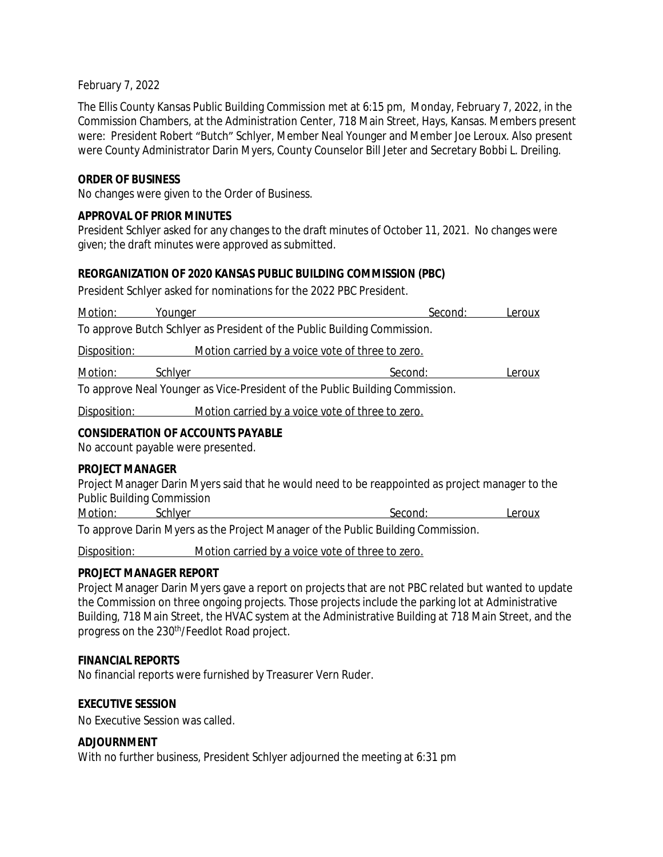### February 7, 2022

The Ellis County Kansas Public Building Commission met at 6:15 pm, Monday, February 7, 2022, in the Commission Chambers, at the Administration Center, 718 Main Street, Hays, Kansas. Members present were: President Robert "Butch" Schlyer, Member Neal Younger and Member Joe Leroux. Also present were County Administrator Darin Myers, County Counselor Bill Jeter and Secretary Bobbi L. Dreiling.

## **ORDER OF BUSINESS**

No changes were given to the Order of Business.

## **APPROVAL OF PRIOR MINUTES**

President Schlyer asked for any changes to the draft minutes of October 11, 2021. No changes were given; the draft minutes were approved as submitted.

### **REORGANIZATION OF 2020 KANSAS PUBLIC BUILDING COMMISSION (PBC)**

President Schlyer asked for nominations for the 2022 PBC President.

| Motion:                                                                        | Younger                                          | Second: | Leroux |
|--------------------------------------------------------------------------------|--------------------------------------------------|---------|--------|
| To approve Butch Schlyer as President of the Public Building Commission.       |                                                  |         |        |
| Disposition:                                                                   | Motion carried by a voice vote of three to zero. |         |        |
| Motion:                                                                        | Schlyer                                          | Second: | Leroux |
| To approve Neal Younger as Vice-President of the Public Building Commission.   |                                                  |         |        |
| Disposition:                                                                   | Motion carried by a voice vote of three to zero. |         |        |
| <b>CONSIDERATION OF ACCOUNTS PAYABLE</b><br>No account payable were presented. |                                                  |         |        |

#### **PROJECT MANAGER**

Project Manager Darin Myers said that he would need to be reappointed as project manager to the Public Building Commission

Motion: Schlyer Second: Leroux

To approve Darin Myers as the Project Manager of the Public Building Commission.

Disposition: Motion carried by a voice vote of three to zero.

# **PROJECT MANAGER REPORT**

Project Manager Darin Myers gave a report on projects that are not PBC related but wanted to update the Commission on three ongoing projects. Those projects include the parking lot at Administrative Building, 718 Main Street, the HVAC system at the Administrative Building at 718 Main Street, and the progress on the 230<sup>th</sup>/Feedlot Road project.

# **FINANCIAL REPORTS**

No financial reports were furnished by Treasurer Vern Ruder.

# **EXECUTIVE SESSION**

No Executive Session was called.

#### **ADJOURNMENT**

With no further business, President Schlyer adjourned the meeting at 6:31 pm